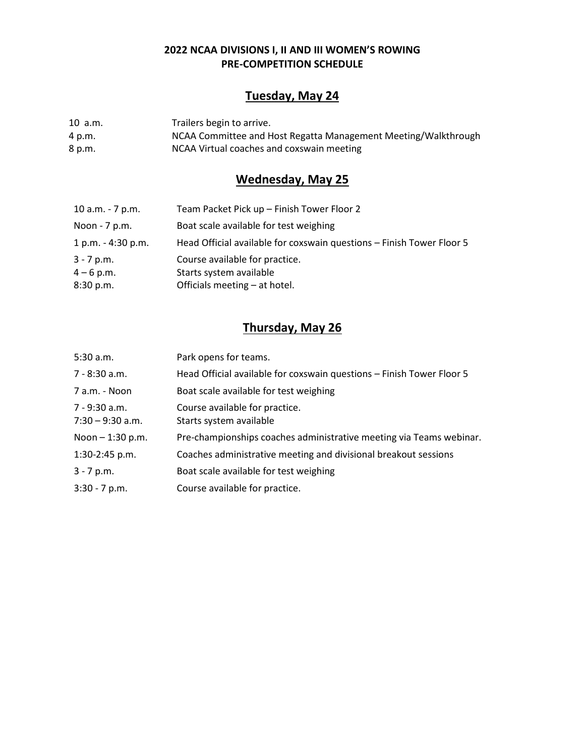### **2022 NCAA DIVISIONS I, II AND III WOMEN'S ROWING PRE-COMPETITION SCHEDULE**

# **Tuesday, May 24**

10 a.m. Trailers begin to arrive. 4 p.m. NCAA Committee and Host Regatta Management Meeting/Walkthrough<br>8 p.m. NCAA Virtual coaches and coxswain meeting NCAA Virtual coaches and coxswain meeting

# **Wednesday, May 25**

| 10 a.m. - 7 p.m.     | Team Packet Pick up - Finish Tower Floor 2                            |
|----------------------|-----------------------------------------------------------------------|
| Noon - 7 p.m.        | Boat scale available for test weighing                                |
| $1 p.m. - 4:30 p.m.$ | Head Official available for coxswain questions - Finish Tower Floor 5 |
| $3 - 7$ p.m.         | Course available for practice.                                        |
| $4 - 6$ p.m.         | Starts system available                                               |
| 8:30 p.m.            | Officials meeting – at hotel.                                         |

# **Thursday, May 26**

| 5:30 a.m.                           | Park opens for teams.                                                 |
|-------------------------------------|-----------------------------------------------------------------------|
| 7 - 8:30 a.m.                       | Head Official available for coxswain questions - Finish Tower Floor 5 |
| 7 a.m. - Noon                       | Boat scale available for test weighing                                |
| 7 - 9:30 a.m.<br>$7:30 - 9:30$ a.m. | Course available for practice.<br>Starts system available             |
| Noon - 1:30 p.m.                    | Pre-championships coaches administrative meeting via Teams webinar.   |
| $1:30-2:45$ p.m.                    | Coaches administrative meeting and divisional breakout sessions       |
| $3 - 7 p.m.$                        | Boat scale available for test weighing                                |
| $3:30 - 7$ p.m.                     | Course available for practice.                                        |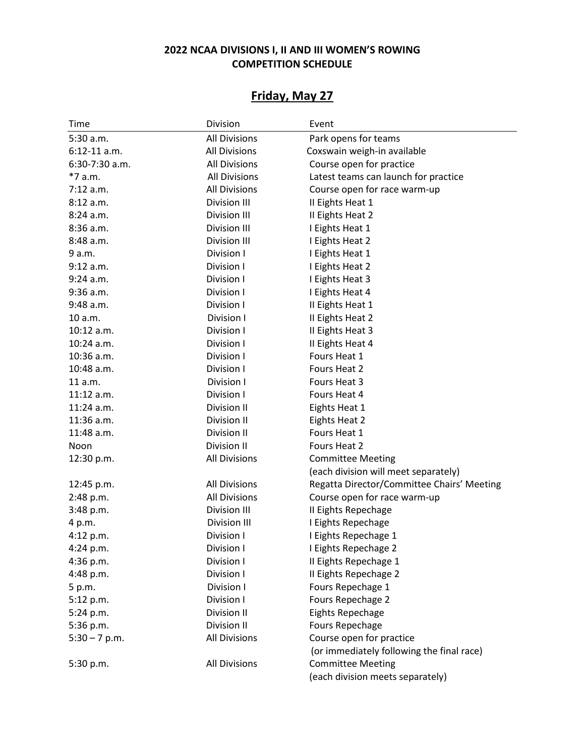## **2022 NCAA DIVISIONS I, II AND III WOMEN'S ROWING COMPETITION SCHEDULE**

# **Friday, May 27**

| Time            | Division             | Event                                      |
|-----------------|----------------------|--------------------------------------------|
| 5:30 a.m.       | <b>All Divisions</b> | Park opens for teams                       |
| $6:12-11$ a.m.  | <b>All Divisions</b> | Coxswain weigh-in available                |
| 6:30-7:30 a.m.  | <b>All Divisions</b> | Course open for practice                   |
| *7 a.m.         | <b>All Divisions</b> | Latest teams can launch for practice       |
| $7:12$ a.m.     | <b>All Divisions</b> | Course open for race warm-up               |
| 8:12 a.m.       | Division III         | II Eights Heat 1                           |
| 8:24a.m.        | Division III         | II Eights Heat 2                           |
| 8:36 a.m.       | Division III         | I Eights Heat 1                            |
| 8:48 a.m.       | Division III         | I Eights Heat 2                            |
| 9 a.m.          | Division I           | I Eights Heat 1                            |
| $9:12$ a.m.     | Division I           | I Eights Heat 2                            |
| $9:24$ a.m.     | Division I           | I Eights Heat 3                            |
| 9:36 a.m.       | Division I           | I Eights Heat 4                            |
| 9:48 a.m.       | Division I           | II Eights Heat 1                           |
| 10 a.m.         | Division I           | II Eights Heat 2                           |
| 10:12 a.m.      | Division I           | II Eights Heat 3                           |
| $10:24$ a.m.    | Division I           | II Eights Heat 4                           |
| 10:36 a.m.      | Division I           | Fours Heat 1                               |
| 10:48 a.m.      | Division I           | Fours Heat 2                               |
| 11 a.m.         | Division I           | Fours Heat 3                               |
| $11:12$ a.m.    | Division I           | Fours Heat 4                               |
| $11:24$ a.m.    | Division II          | Eights Heat 1                              |
| 11:36 a.m.      | Division II          | Eights Heat 2                              |
| 11:48 a.m.      | Division II          | Fours Heat 1                               |
| Noon            | Division II          | Fours Heat 2                               |
| 12:30 p.m.      | <b>All Divisions</b> | <b>Committee Meeting</b>                   |
|                 |                      | (each division will meet separately)       |
| 12:45 p.m.      | <b>All Divisions</b> | Regatta Director/Committee Chairs' Meeting |
| 2:48 p.m.       | <b>All Divisions</b> | Course open for race warm-up               |
| 3:48 p.m.       | <b>Division III</b>  | II Eights Repechage                        |
| 4 p.m.          | Division III         | I Eights Repechage                         |
| 4:12 p.m.       | Division I           | I Eights Repechage 1                       |
| 4:24 p.m.       | Division I           | I Eights Repechage 2                       |
| $4:36$ p.m.     | Division I           | Il Eights Repechage 1                      |
| 4:48 p.m.       | Division I           | Il Eights Repechage 2                      |
| 5 p.m.          | Division I           | Fours Repechage 1                          |
| 5:12 p.m.       | Division I           | Fours Repechage 2                          |
| 5:24 p.m.       | Division II          | Eights Repechage                           |
| 5:36 p.m.       | Division II          | <b>Fours Repechage</b>                     |
| $5:30 - 7$ p.m. | <b>All Divisions</b> | Course open for practice                   |
|                 |                      | (or immediately following the final race)  |
| 5:30 p.m.       | <b>All Divisions</b> | <b>Committee Meeting</b>                   |
|                 |                      | (each division meets separately)           |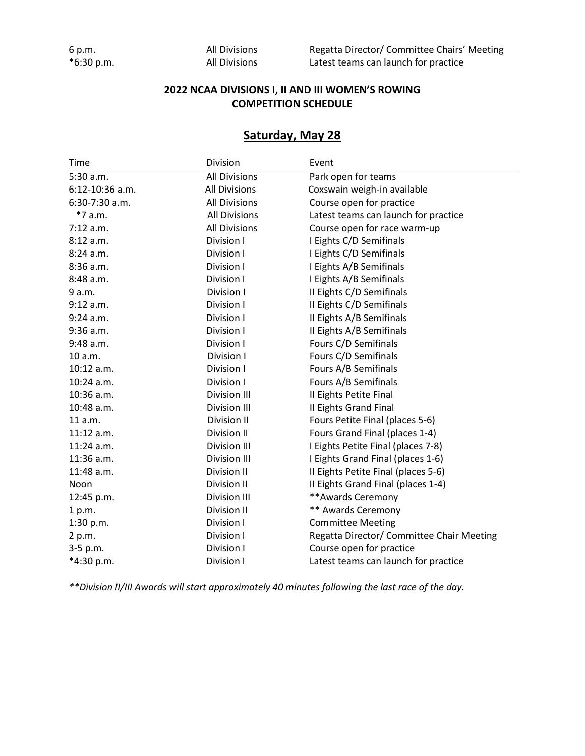| 6 p.m. |            |
|--------|------------|
|        | *6:30 p.m. |

All Divisions Regatta Director/ Committee Chairs' Meeting All Divisions Latest teams can launch for practice

#### **2022 NCAA DIVISIONS I, II AND III WOMEN'S ROWING COMPETITION SCHEDULE**

## **Saturday, May 28**

| Time                | Division             | Event                                     |
|---------------------|----------------------|-------------------------------------------|
| 5:30 a.m.           | <b>All Divisions</b> | Park open for teams                       |
| $6:12 - 10:36$ a.m. | <b>All Divisions</b> | Coxswain weigh-in available               |
| $6:30-7:30$ a.m.    | <b>All Divisions</b> | Course open for practice                  |
| $*7$ a.m.           | <b>All Divisions</b> | Latest teams can launch for practice      |
| 7:12 a.m.           | <b>All Divisions</b> | Course open for race warm-up              |
| 8:12 a.m.           | Division I           | I Eights C/D Semifinals                   |
| 8:24a.m.            | Division I           | I Eights C/D Semifinals                   |
| 8:36 a.m.           | Division I           | I Eights A/B Semifinals                   |
| 8:48 a.m.           | Division I           | I Eights A/B Semifinals                   |
| 9 a.m.              | Division I           | Il Eights C/D Semifinals                  |
| 9:12 a.m.           | Division I           | Il Eights C/D Semifinals                  |
| $9:24$ a.m.         | Division I           | Il Eights A/B Semifinals                  |
| 9:36 a.m.           | Division I           | Il Eights A/B Semifinals                  |
| 9:48 a.m.           | Division I           | Fours C/D Semifinals                      |
| 10 a.m.             | Division I           | Fours C/D Semifinals                      |
| $10:12$ a.m.        | Division I           | Fours A/B Semifinals                      |
| $10:24$ a.m.        | Division I           | Fours A/B Semifinals                      |
| $10:36$ a.m.        | Division III         | Il Eights Petite Final                    |
| 10:48 a.m.          | <b>Division III</b>  | II Eights Grand Final                     |
| 11 a.m.             | Division II          | Fours Petite Final (places 5-6)           |
| $11:12$ a.m.        | Division II          | Fours Grand Final (places 1-4)            |
| $11:24$ a.m.        | Division III         | I Eights Petite Final (places 7-8)        |
| 11:36 a.m.          | <b>Division III</b>  | I Eights Grand Final (places 1-6)         |
| 11:48 a.m.          | Division II          | II Eights Petite Final (places 5-6)       |
| Noon                | Division II          | II Eights Grand Final (places 1-4)        |
| 12:45 p.m.          | Division III         | **Awards Ceremony                         |
| 1 p.m.              | Division II          | ** Awards Ceremony                        |
| 1:30 p.m.           | Division I           | <b>Committee Meeting</b>                  |
| 2 p.m.              | Division I           | Regatta Director/ Committee Chair Meeting |
| 3-5 p.m.            | Division I           | Course open for practice                  |
| *4:30 p.m.          | Division I           | Latest teams can launch for practice      |

*\*\*Division II/III Awards will start approximately 40 minutes following the last race of the day.*